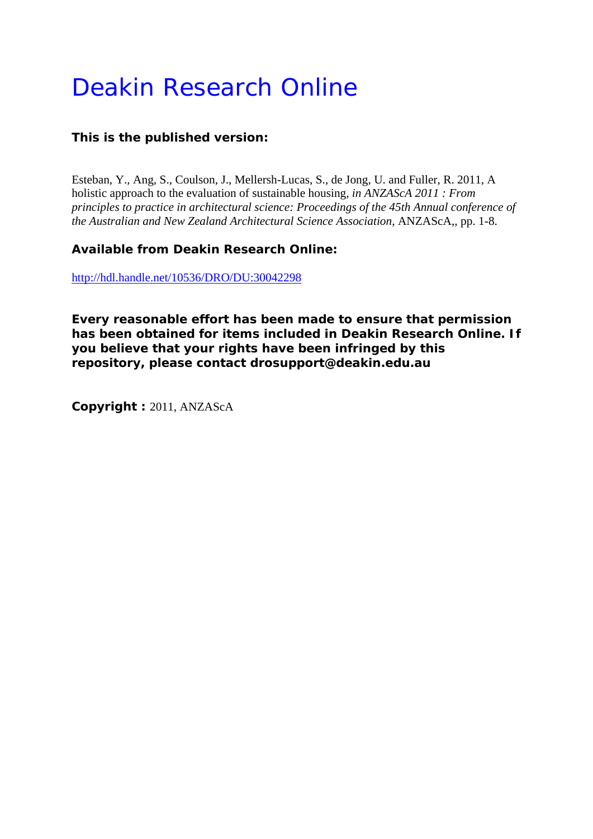# Deakin Research Online

# **This is the published version:**

Esteban, Y., Ang, S., Coulson, J., Mellersh-Lucas, S., de Jong, U. and Fuller, R. 2011, A holistic approach to the evaluation of sustainable housing*, in ANZAScA 2011 : From principles to practice in architectural science: Proceedings of the 45th Annual conference of the Australian and New Zealand Architectural Science Association*, ANZAScA,, pp. 1-8.

# **Available from Deakin Research Online:**

http://hdl.handle.net/10536/DRO/DU:30042298

**Every reasonable effort has been made to ensure that permission has been obtained for items included in Deakin Research Online. If you believe that your rights have been infringed by this repository, please contact drosupport@deakin.edu.au** 

**Copyright :** 2011, ANZAScA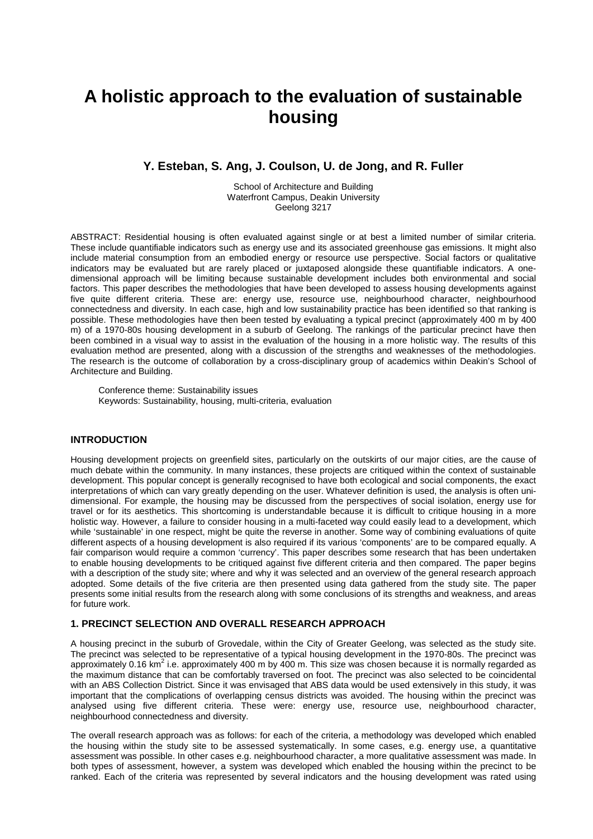# **A holistic approach to the evaluation of sustainable housing**

# **Y. Esteban, S. Ang, J. Coulson, U. de Jong, and R. Fuller**

School of Architecture and Building Waterfront Campus, Deakin University Geelong 3217

ABSTRACT: Residential housing is often evaluated against single or at best a limited number of similar criteria. These include quantifiable indicators such as energy use and its associated greenhouse gas emissions. It might also include material consumption from an embodied energy or resource use perspective. Social factors or qualitative indicators may be evaluated but are rarely placed or juxtaposed alongside these quantifiable indicators. A onedimensional approach will be limiting because sustainable development includes both environmental and social factors. This paper describes the methodologies that have been developed to assess housing developments against five quite different criteria. These are: energy use, resource use, neighbourhood character, neighbourhood connectedness and diversity. In each case, high and low sustainability practice has been identified so that ranking is possible. These methodologies have then been tested by evaluating a typical precinct (approximately 400 m by 400 m) of a 1970-80s housing development in a suburb of Geelong. The rankings of the particular precinct have then been combined in a visual way to assist in the evaluation of the housing in a more holistic way. The results of this evaluation method are presented, along with a discussion of the strengths and weaknesses of the methodologies. The research is the outcome of collaboration by a cross-disciplinary group of academics within Deakin's School of Architecture and Building.

Conference theme: Sustainability issues Keywords: Sustainability, housing, multi-criteria, evaluation

#### **INTRODUCTION**

Housing development projects on greenfield sites, particularly on the outskirts of our major cities, are the cause of much debate within the community. In many instances, these projects are critiqued within the context of sustainable development. This popular concept is generally recognised to have both ecological and social components, the exact interpretations of which can vary greatly depending on the user. Whatever definition is used, the analysis is often unidimensional. For example, the housing may be discussed from the perspectives of social isolation, energy use for travel or for its aesthetics. This shortcoming is understandable because it is difficult to critique housing in a more holistic way. However, a failure to consider housing in a multi-faceted way could easily lead to a development, which while 'sustainable' in one respect, might be quite the reverse in another. Some way of combining evaluations of quite different aspects of a housing development is also required if its various 'components' are to be compared equally. A fair comparison would require a common 'currency'. This paper describes some research that has been undertaken to enable housing developments to be critiqued against five different criteria and then compared. The paper begins with a description of the study site; where and why it was selected and an overview of the general research approach adopted. Some details of the five criteria are then presented using data gathered from the study site. The paper presents some initial results from the research along with some conclusions of its strengths and weakness, and areas for future work.

#### **1. PRECINCT SELECTION AND OVERALL RESEARCH APPROACH**

A housing precinct in the suburb of Grovedale, within the City of Greater Geelong, was selected as the study site. The precinct was selected to be representative of a typical housing development in the 1970-80s. The precinct was approximately 0.16 km<sup>2</sup> i.e. approximately 400 m by 400 m. This size was chosen because it is normally regarded as the maximum distance that can be comfortably traversed on foot. The precinct was also selected to be coincidental with an ABS Collection District. Since it was envisaged that ABS data would be used extensively in this study, it was important that the complications of overlapping census districts was avoided. The housing within the precinct was analysed using five different criteria. These were: energy use, resource use, neighbourhood character, neighbourhood connectedness and diversity.

The overall research approach was as follows: for each of the criteria, a methodology was developed which enabled the housing within the study site to be assessed systematically. In some cases, e.g. energy use, a quantitative assessment was possible. In other cases e.g. neighbourhood character, a more qualitative assessment was made. In both types of assessment, however, a system was developed which enabled the housing within the precinct to be ranked. Each of the criteria was represented by several indicators and the housing development was rated using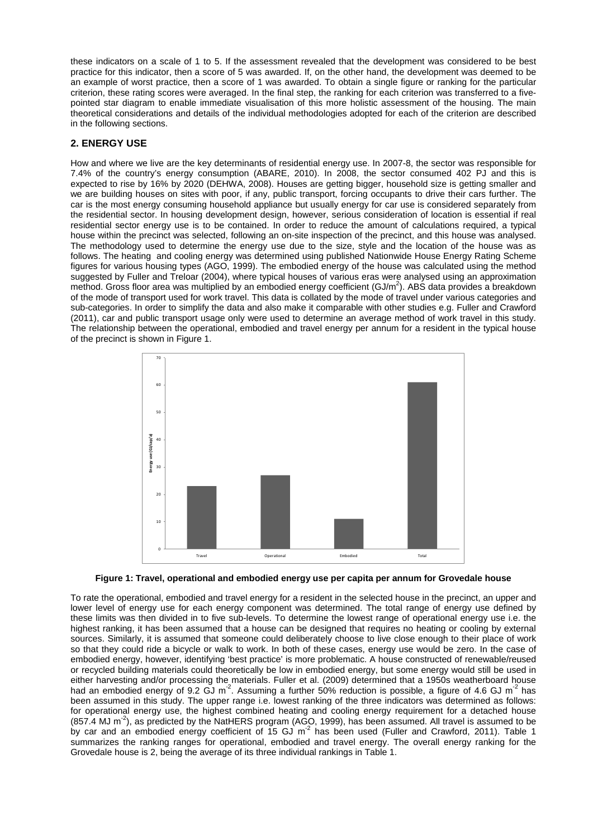these indicators on a scale of 1 to 5. If the assessment revealed that the development was considered to be best practice for this indicator, then a score of 5 was awarded. If, on the other hand, the development was deemed to be an example of worst practice, then a score of 1 was awarded. To obtain a single figure or ranking for the particular criterion, these rating scores were averaged. In the final step, the ranking for each criterion was transferred to a fivepointed star diagram to enable immediate visualisation of this more holistic assessment of the housing. The main theoretical considerations and details of the individual methodologies adopted for each of the criterion are described in the following sections.

# **2. ENERGY USE**

How and where we live are the key determinants of residential energy use. In 2007-8, the sector was responsible for 7.4% of the country's energy consumption (ABARE, 2010). In 2008, the sector consumed 402 PJ and this is expected to rise by 16% by 2020 (DEHWA, 2008). Houses are getting bigger, household size is getting smaller and we are building houses on sites with poor, if any, public transport, forcing occupants to drive their cars further. The car is the most energy consuming household appliance but usually energy for car use is considered separately from the residential sector. In housing development design, however, serious consideration of location is essential if real residential sector energy use is to be contained. In order to reduce the amount of calculations required, a typical house within the precinct was selected, following an on-site inspection of the precinct, and this house was analysed. The methodology used to determine the energy use due to the size, style and the location of the house was as follows. The heating and cooling energy was determined using published Nationwide House Energy Rating Scheme figures for various housing types (AGO, 1999). The embodied energy of the house was calculated using the method suggested by Fuller and Treloar (2004), where typical houses of various eras were analysed using an approximation method. Gross floor area was multiplied by an embodied energy coefficient (GJ/m<sup>2</sup>). ABS data provides a breakdown of the mode of transport used for work travel. This data is collated by the mode of travel under various categories and sub-categories. In order to simplify the data and also make it comparable with other studies e.g. Fuller and Crawford (2011), car and public transport usage only were used to determine an average method of work travel in this study. The relationship between the operational, embodied and travel energy per annum for a resident in the typical house of the precinct is shown in Figure 1.



**Figure 1: Travel, operational and embodied energy use per capita per annum for Grovedale house**

To rate the operational, embodied and travel energy for a resident in the selected house in the precinct, an upper and lower level of energy use for each energy component was determined. The total range of energy use defined by these limits was then divided in to five sub-levels. To determine the lowest range of operational energy use i.e. the highest ranking, it has been assumed that a house can be designed that requires no heating or cooling by external sources. Similarly, it is assumed that someone could deliberately choose to live close enough to their place of work so that they could ride a bicycle or walk to work. In both of these cases, energy use would be zero. In the case of embodied energy, however, identifying 'best practice' is more problematic. A house constructed of renewable/reused or recycled building materials could theoretically be low in embodied energy, but some energy would still be used in either harvesting and/or processing the materials. Fuller et al. (2009) determined that a 1950s weatherboard house had an embodied energy of 9.2 GJ m<sup>-2</sup>. Assuming a further 50% reduction is possible, a figure of 4.6 GJ m<sup>-2</sup> has been assumed in this study. The upper range i.e. lowest ranking of the three indicators was determined as follows: for operational energy use, the highest combined heating and cooling energy requirement for a detached house  $(857.4 \text{ MJ m}^2)$ , as predicted by the NatHERS program (AGO, 1999), has been assumed. All travel is assumed to be by car and an embodied energy coefficient of 15 GJ m<sup>-2</sup> has been used (Fuller and Crawford, 2011). Table 1 summarizes the ranking ranges for operational, embodied and travel energy. The overall energy ranking for the Grovedale house is 2, being the average of its three individual rankings in Table 1.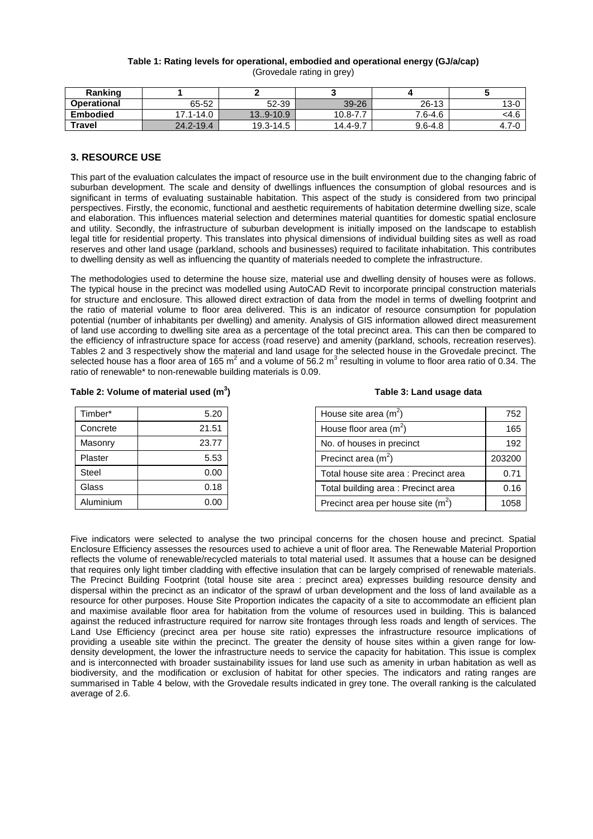#### **Table 1: Rating levels for operational, embodied and operational energy (GJ/a/cap)** (Grovedale rating in grey)

| Ranking            |           |               |          |             |           |
|--------------------|-----------|---------------|----------|-------------|-----------|
| <b>Operational</b> | 65-52     | 52-39         | 39-26    | 26-13       | $13 - 0$  |
| <b>Embodied</b>    | 17.1-14.0 | $13.9 - 10.9$ | 10.8-7.7 | 7.6-4.6     | <4.6      |
| Travel             | 24.2-19.4 | 19.3-14.5     | 14.4-9.7 | $9.6 - 4.8$ | $4.7 - 0$ |

#### **3. RESOURCE USE**

This part of the evaluation calculates the impact of resource use in the built environment due to the changing fabric of suburban development. The scale and density of dwellings influences the consumption of global resources and is significant in terms of evaluating sustainable habitation. This aspect of the study is considered from two principal perspectives. Firstly, the economic, functional and aesthetic requirements of habitation determine dwelling size, scale and elaboration. This influences material selection and determines material quantities for domestic spatial enclosure and utility. Secondly, the infrastructure of suburban development is initially imposed on the landscape to establish legal title for residential property. This translates into physical dimensions of individual building sites as well as road reserves and other land usage (parkland, schools and businesses) required to facilitate inhabitation. This contributes to dwelling density as well as influencing the quantity of materials needed to complete the infrastructure.

The methodologies used to determine the house size, material use and dwelling density of houses were as follows. The typical house in the precinct was modelled using AutoCAD Revit to incorporate principal construction materials for structure and enclosure. This allowed direct extraction of data from the model in terms of dwelling footprint and the ratio of material volume to floor area delivered. This is an indicator of resource consumption for population potential (number of inhabitants per dwelling) and amenity. Analysis of GIS information allowed direct measurement of land use according to dwelling site area as a percentage of the total precinct area. This can then be compared to the efficiency of infrastructure space for access (road reserve) and amenity (parkland, schools, recreation reserves). Tables 2 and 3 respectively show the material and land usage for the selected house in the Grovedale precinct. The selected house has a floor area of 165  $m^2$  and a volume of 56.2  $m^3$  resulting in volume to floor area ratio of 0.34. The ratio of renewable\* to non-renewable building materials is 0.09.

#### **Table 2: Volume of material used (m3 )**

| Timber*      | 5.20  | House site area $(m2)$                | 752    |
|--------------|-------|---------------------------------------|--------|
| Concrete     | 21.51 | House floor area $(m^2)$              | 165    |
| Masonry      | 23.77 | No. of houses in precinct             | 192    |
| Plaster      | 5.53  | Precinct area $(m2)$                  | 203200 |
| <b>Steel</b> | 0.00  | Total house site area : Precinct area | 0.71   |
| <b>Glass</b> | 0.18  | Total building area : Precinct area   | 0.16   |
| Aluminium    | 0.00  | Precinct area per house site $(m^2)$  | 1058   |

Five indicators were selected to analyse the two principal concerns for the chosen house and precinct. Spatial Enclosure Efficiency assesses the resources used to achieve a unit of floor area. The Renewable Material Proportion reflects the volume of renewable/recycled materials to total material used. It assumes that a house can be designed that requires only light timber cladding with effective insulation that can be largely comprised of renewable materials. The Precinct Building Footprint (total house site area : precinct area) expresses building resource density and dispersal within the precinct as an indicator of the sprawl of urban development and the loss of land available as a resource for other purposes. House Site Proportion indicates the capacity of a site to accommodate an efficient plan and maximise available floor area for habitation from the volume of resources used in building. This is balanced against the reduced infrastructure required for narrow site frontages through less roads and length of services. The Land Use Efficiency (precinct area per house site ratio) expresses the infrastructure resource implications of providing a useable site within the precinct. The greater the density of house sites within a given range for lowdensity development, the lower the infrastructure needs to service the capacity for habitation. This issue is complex and is interconnected with broader sustainability issues for land use such as amenity in urban habitation as well as biodiversity, and the modification or exclusion of habitat for other species. The indicators and rating ranges are summarised in Table 4 below, with the Grovedale results indicated in grey tone. The overall ranking is the calculated average of 2.6.

#### **Table 3: Land usage data**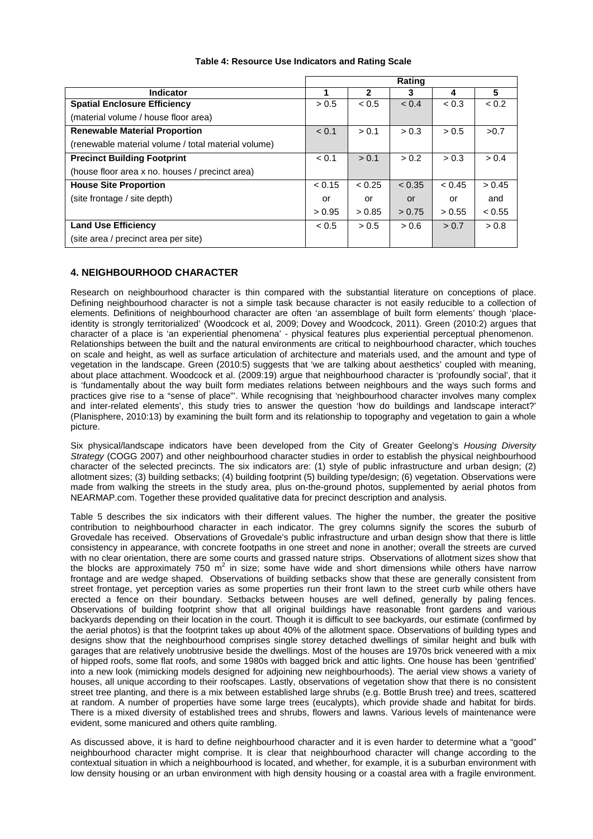|                                                     | <b>Rating</b> |              |        |        |        |
|-----------------------------------------------------|---------------|--------------|--------|--------|--------|
| <b>Indicator</b>                                    |               | $\mathbf{2}$ | 3      | 4      | 5      |
| <b>Spatial Enclosure Efficiency</b>                 | > 0.5         | < 0.5        | < 0.4  | < 0.3  | < 0.2  |
| (material volume / house floor area)                |               |              |        |        |        |
| <b>Renewable Material Proportion</b>                | < 0.1         | > 0.1        | > 0.3  | > 0.5  | >0.7   |
| (renewable material volume / total material volume) |               |              |        |        |        |
| <b>Precinct Building Footprint</b>                  | < 0.1         | > 0.1        | > 0.2  | > 0.3  | > 0.4  |
| (house floor area x no. houses / precinct area)     |               |              |        |        |        |
| <b>House Site Proportion</b>                        | < 0.15        | < 0.25       | < 0.35 | < 0.45 | > 0.45 |
| (site frontage / site depth)                        | or            | or           | or     | or     | and    |
|                                                     | > 0.95        | > 0.85       | > 0.75 | > 0.55 | < 0.55 |
| <b>Land Use Efficiency</b>                          | < 0.5         | > 0.5        | > 0.6  | > 0.7  | > 0.8  |
| (site area / precinct area per site)                |               |              |        |        |        |

#### **Table 4: Resource Use Indicators and Rating Scale**

# **4. NEIGHBOURHOOD CHARACTER**

Research on neighbourhood character is thin compared with the substantial literature on conceptions of place. Defining neighbourhood character is not a simple task because character is not easily reducible to a collection of elements. Definitions of neighbourhood character are often 'an assemblage of built form elements' though 'placeidentity is strongly territorialized' (Woodcock et al, 2009; Dovey and Woodcock, 2011). Green (2010:2) argues that character of a place is 'an experiential phenomena' - physical features plus experiential perceptual phenomenon. Relationships between the built and the natural environments are critical to neighbourhood character, which touches on scale and height, as well as surface articulation of architecture and materials used, and the amount and type of vegetation in the landscape. Green (2010:5) suggests that 'we are talking about aesthetics' coupled with meaning, about place attachment. Woodcock et al. (2009:19) argue that neighbourhood character is 'profoundly social', that it is 'fundamentally about the way built form mediates relations between neighbours and the ways such forms and practices give rise to a "sense of place"'. While recognising that 'neighbourhood character involves many complex and inter-related elements', this study tries to answer the question 'how do buildings and landscape interact?' (Planisphere, 2010:13) by examining the built form and its relationship to topography and vegetation to gain a whole picture.

Six physical/landscape indicators have been developed from the City of Greater Geelong's *Housing Diversity Strategy* (COGG 2007) and other neighbourhood character studies in order to establish the physical neighbourhood character of the selected precincts. The six indicators are: (1) style of public infrastructure and urban design; (2) allotment sizes; (3) building setbacks; (4) building footprint (5) building type/design; (6) vegetation. Observations were made from walking the streets in the study area, plus on-the-ground photos, supplemented by aerial photos from NEARMAP.com. Together these provided qualitative data for precinct description and analysis.

Table 5 describes the six indicators with their different values. The higher the number, the greater the positive contribution to neighbourhood character in each indicator. The grey columns signify the scores the suburb of Grovedale has received. Observations of Grovedale's public infrastructure and urban design show that there is little consistency in appearance, with concrete footpaths in one street and none in another; overall the streets are curved with no clear orientation, there are some courts and grassed nature strips. Observations of allotment sizes show that the blocks are approximately 750  $m^2$  in size; some have wide and short dimensions while others have narrow frontage and are wedge shaped. Observations of building setbacks show that these are generally consistent from street frontage, yet perception varies as some properties run their front lawn to the street curb while others have erected a fence on their boundary. Setbacks between houses are well defined, generally by paling fences. Observations of building footprint show that all original buildings have reasonable front gardens and various backyards depending on their location in the court. Though it is difficult to see backyards, our estimate (confirmed by the aerial photos) is that the footprint takes up about 40% of the allotment space. Observations of building types and designs show that the neighbourhood comprises single storey detached dwellings of similar height and bulk with garages that are relatively unobtrusive beside the dwellings. Most of the houses are 1970s brick veneered with a mix of hipped roofs, some flat roofs, and some 1980s with bagged brick and attic lights. One house has been 'gentrified' into a new look (mimicking models designed for adjoining new neighbourhoods). The aerial view shows a variety of houses, all unique according to their roofscapes. Lastly, observations of vegetation show that there is no consistent street tree planting, and there is a mix between established large shrubs (e.g. Bottle Brush tree) and trees, scattered at random. A number of properties have some large trees (eucalypts), which provide shade and habitat for birds. There is a mixed diversity of established trees and shrubs, flowers and lawns. Various levels of maintenance were evident, some manicured and others quite rambling.

As discussed above, it is hard to define neighbourhood character and it is even harder to determine what a "good" neighbourhood character might comprise. It is clear that neighbourhood character will change according to the contextual situation in which a neighbourhood is located, and whether, for example, it is a suburban environment with low density housing or an urban environment with high density housing or a coastal area with a fragile environment.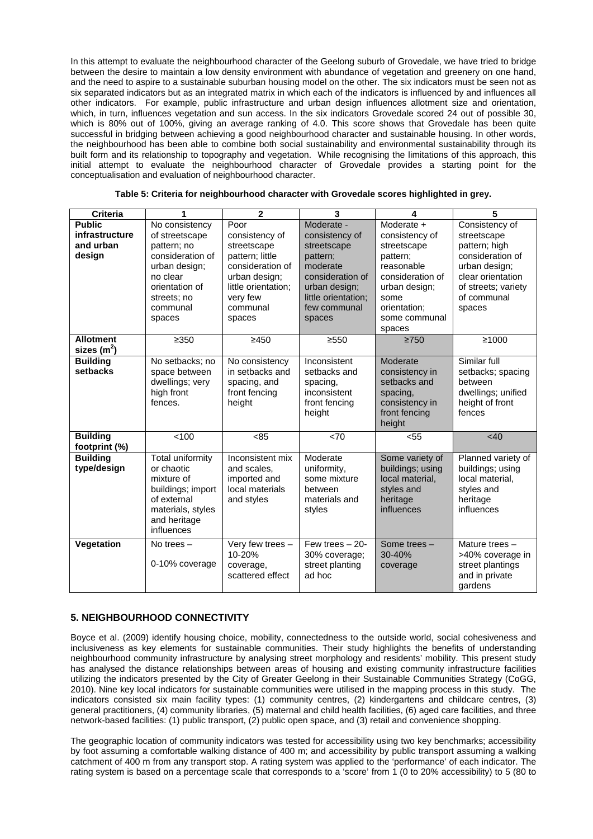In this attempt to evaluate the neighbourhood character of the Geelong suburb of Grovedale, we have tried to bridge between the desire to maintain a low density environment with abundance of vegetation and greenery on one hand, and the need to aspire to a sustainable suburban housing model on the other. The six indicators must be seen not as six separated indicators but as an integrated matrix in which each of the indicators is influenced by and influences all other indicators. For example, public infrastructure and urban design influences allotment size and orientation, which, in turn, influences vegetation and sun access. In the six indicators Grovedale scored 24 out of possible 30, which is 80% out of 100%, giving an average ranking of 4.0. This score shows that Grovedale has been quite successful in bridging between achieving a good neighbourhood character and sustainable housing. In other words, the neighbourhood has been able to combine both social sustainability and environmental sustainability through its built form and its relationship to topography and vegetation. While recognising the limitations of this approach, this initial attempt to evaluate the neighbourhood character of Grovedale provides a starting point for the conceptualisation and evaluation of neighbourhood character.

| <b>Criteria</b>                                        | 1                                                                                                                                                       | $\overline{2}$                                                                                                                                         | 3                                                                                                                                                         | 4                                                                                                                                                             | 5                                                                                                                                                        |
|--------------------------------------------------------|---------------------------------------------------------------------------------------------------------------------------------------------------------|--------------------------------------------------------------------------------------------------------------------------------------------------------|-----------------------------------------------------------------------------------------------------------------------------------------------------------|---------------------------------------------------------------------------------------------------------------------------------------------------------------|----------------------------------------------------------------------------------------------------------------------------------------------------------|
| <b>Public</b><br>infrastructure<br>and urban<br>design | No consistency<br>of streetscape<br>pattern; no<br>consideration of<br>urban design;<br>no clear<br>orientation of<br>streets; no<br>communal<br>spaces | Poor<br>consistency of<br>streetscape<br>pattern; little<br>consideration of<br>urban design;<br>little orientation:<br>very few<br>communal<br>spaces | Moderate -<br>consistency of<br>streetscape<br>pattern:<br>moderate<br>consideration of<br>urban design;<br>little orientation;<br>few communal<br>spaces | Moderate +<br>consistency of<br>streetscape<br>pattern;<br>reasonable<br>consideration of<br>urban design;<br>some<br>orientation;<br>some communal<br>spaces | Consistency of<br>streetscape<br>pattern; high<br>consideration of<br>urban design;<br>clear orientation<br>of streets; variety<br>of communal<br>spaces |
| <b>Allotment</b><br>sizes $(m2)$                       | $\geq 350$                                                                                                                                              | ≥450                                                                                                                                                   | ≥550                                                                                                                                                      | $\geq 750$                                                                                                                                                    | ≥1000                                                                                                                                                    |
| <b>Building</b><br>setbacks                            | No setbacks; no<br>space between<br>dwellings; very<br>high front<br>fences.                                                                            | No consistency<br>in setbacks and<br>spacing, and<br>front fencing<br>height                                                                           | Inconsistent<br>setbacks and<br>spacing,<br>inconsistent<br>front fencing<br>height                                                                       | Moderate<br>consistency in<br>setbacks and<br>spacing,<br>consistency in<br>front fencing<br>height                                                           | Similar full<br>setbacks; spacing<br>between<br>dwellings; unified<br>height of front<br>fences                                                          |
| <b>Building</b><br>footprint (%)                       | < 100                                                                                                                                                   | < 85                                                                                                                                                   | <70                                                                                                                                                       | $55$                                                                                                                                                          | < 40                                                                                                                                                     |
| <b>Building</b><br>type/design                         | <b>Total uniformity</b><br>or chaotic<br>mixture of<br>buildings; import<br>of external<br>materials, styles<br>and heritage<br>influences              | Inconsistent mix<br>and scales,<br>imported and<br>local materials<br>and styles                                                                       | Moderate<br>uniformity,<br>some mixture<br>between<br>materials and<br>styles                                                                             | Some variety of<br>buildings; using<br>local material,<br>styles and<br>heritage<br>influences                                                                | Planned variety of<br>buildings; using<br>local material,<br>styles and<br>heritage<br>influences                                                        |
| Vegetation                                             | No trees $-$<br>0-10% coverage                                                                                                                          | Very few trees -<br>10-20%<br>coverage,<br>scattered effect                                                                                            | Few trees $-20$ -<br>30% coverage;<br>street planting<br>ad hoc                                                                                           | Some trees -<br>30-40%<br>coverage                                                                                                                            | Mature trees -<br>>40% coverage in<br>street plantings<br>and in private<br>gardens                                                                      |

**Table 5: Criteria for neighbourhood character with Grovedale scores highlighted in grey.**

# **5. NEIGHBOURHOOD CONNECTIVITY**

Boyce et al. (2009) identify housing choice, mobility, connectedness to the outside world, social cohesiveness and inclusiveness as key elements for sustainable communities. Their study highlights the benefits of understanding neighbourhood community infrastructure by analysing street morphology and residents' mobility. This present study has analysed the distance relationships between areas of housing and existing community infrastructure facilities utilizing the indicators presented by the City of Greater Geelong in their Sustainable Communities Strategy (CoGG, 2010). Nine key local indicators for sustainable communities were utilised in the mapping process in this study. The indicators consisted six main facility types: (1) community centres, (2) kindergartens and childcare centres, (3) general practitioners, (4) community libraries, (5) maternal and child health facilities, (6) aged care facilities, and three network-based facilities: (1) public transport, (2) public open space, and (3) retail and convenience shopping.

The geographic location of community indicators was tested for accessibility using two key benchmarks; accessibility by foot assuming a comfortable walking distance of 400 m; and accessibility by public transport assuming a walking catchment of 400 m from any transport stop. A rating system was applied to the 'performance' of each indicator. The rating system is based on a percentage scale that corresponds to a 'score' from 1 (0 to 20% accessibility) to 5 (80 to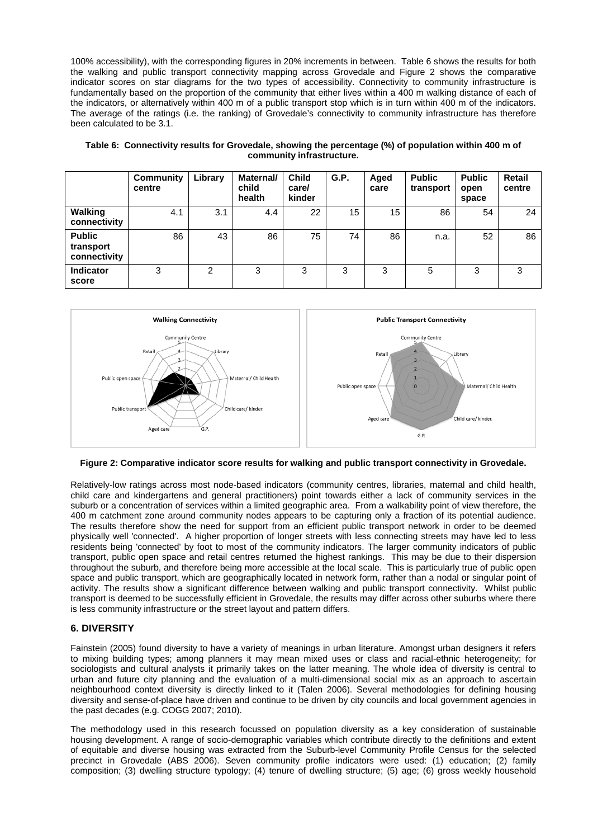100% accessibility), with the corresponding figures in 20% increments in between. Table 6 shows the results for both the walking and public transport connectivity mapping across Grovedale and Figure 2 shows the comparative indicator scores on star diagrams for the two types of accessibility. Connectivity to community infrastructure is fundamentally based on the proportion of the community that either lives within a 400 m walking distance of each of the indicators, or alternatively within 400 m of a public transport stop which is in turn within 400 m of the indicators. The average of the ratings (i.e. the ranking) of Grovedale's connectivity to community infrastructure has therefore been calculated to be 3.1.

|                                            | Community<br>centre | Library | <b>Maternal/</b><br>child<br>health | <b>Child</b><br>care/<br>kinder | G.P. | Aged<br>care | <b>Public</b><br>transport | <b>Public</b><br>open<br>space | Retail<br>centre |
|--------------------------------------------|---------------------|---------|-------------------------------------|---------------------------------|------|--------------|----------------------------|--------------------------------|------------------|
| Walking<br>connectivity                    | 4.1                 | 3.1     | 4.4                                 | 22                              | 15   | 15           | 86                         | 54                             | 24               |
| <b>Public</b><br>transport<br>connectivity | 86                  | 43      | 86                                  | 75                              | 74   | 86           | n.a.                       | 52                             | 86               |
| <b>Indicator</b><br>score                  | 3                   | 2       | 3                                   | 3                               | 3    | 3            | 5                          | 3                              | 3                |

**Table 6: Connectivity results for Grovedale, showing the percentage (%) of population within 400 m of community infrastructure.**



#### **Figure 2: Comparative indicator score results for walking and public transport connectivity in Grovedale.**

Relatively-low ratings across most node-based indicators (community centres, libraries, maternal and child health, child care and kindergartens and general practitioners) point towards either a lack of community services in the suburb or a concentration of services within a limited geographic area. From a walkability point of view therefore, the 400 m catchment zone around community nodes appears to be capturing only a fraction of its potential audience. The results therefore show the need for support from an efficient public transport network in order to be deemed physically well 'connected'. A higher proportion of longer streets with less connecting streets may have led to less residents being 'connected' by foot to most of the community indicators. The larger community indicators of public transport, public open space and retail centres returned the highest rankings. This may be due to their dispersion throughout the suburb, and therefore being more accessible at the local scale. This is particularly true of public open space and public transport, which are geographically located in network form, rather than a nodal or singular point of activity. The results show a significant difference between walking and public transport connectivity. Whilst public transport is deemed to be successfully efficient in Grovedale, the results may differ across other suburbs where there is less community infrastructure or the street layout and pattern differs.

#### **6. DIVERSITY**

Fainstein (2005) found diversity to have a variety of meanings in urban literature. Amongst urban designers it refers to mixing building types; among planners it may mean mixed uses or class and racial-ethnic heterogeneity; for sociologists and cultural analysts it primarily takes on the latter meaning. The whole idea of diversity is central to urban and future city planning and the evaluation of a multi-dimensional social mix as an approach to ascertain neighbourhood context diversity is directly linked to it (Talen 2006). Several methodologies for defining housing diversity and sense-of-place have driven and continue to be driven by city councils and local government agencies in the past decades (e.g. COGG 2007; 2010).

The methodology used in this research focussed on population diversity as a key consideration of sustainable housing development. A range of socio-demographic variables which contribute directly to the definitions and extent of equitable and diverse housing was extracted from the Suburb-level Community Profile Census for the selected precinct in Grovedale (ABS 2006). Seven community profile indicators were used: (1) education; (2) family composition; (3) dwelling structure typology; (4) tenure of dwelling structure; (5) age; (6) gross weekly household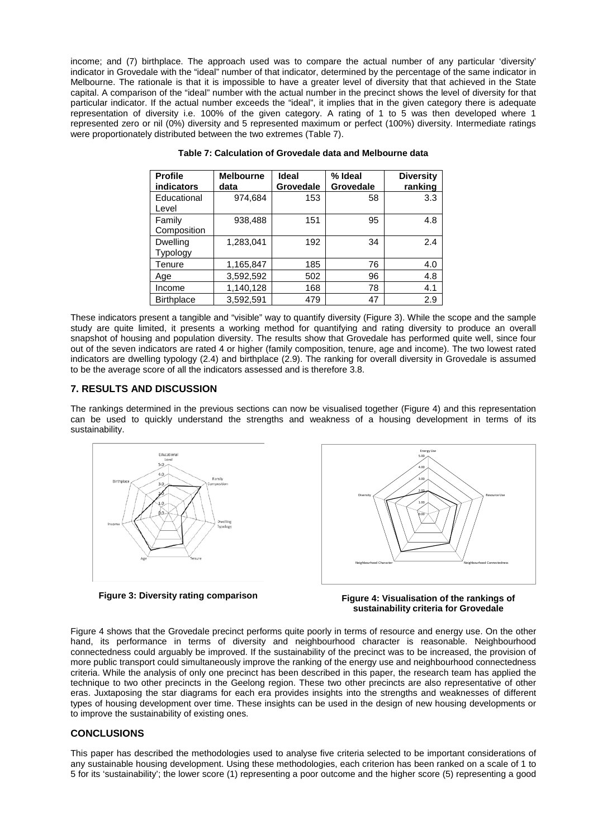income; and (7) birthplace. The approach used was to compare the actual number of any particular 'diversity' indicator in Grovedale with the "ideal" number of that indicator, determined by the percentage of the same indicator in Melbourne. The rationale is that it is impossible to have a greater level of diversity that that achieved in the State capital. A comparison of the "ideal" number with the actual number in the precinct shows the level of diversity for that particular indicator. If the actual number exceeds the "ideal", it implies that in the given category there is adequate representation of diversity i.e. 100% of the given category. A rating of 1 to 5 was then developed where 1 represented zero or nil (0%) diversity and 5 represented maximum or perfect (100%) diversity. Intermediate ratings were proportionately distributed between the two extremes (Table 7).

| <b>Profile</b><br><b>indicators</b> | <b>Melbourne</b><br>data | Ideal<br>Grovedale | % Ideal<br>Grovedale | <b>Diversity</b><br>ranking |
|-------------------------------------|--------------------------|--------------------|----------------------|-----------------------------|
| Educational<br>Level                | 974.684                  | 153                | 58                   | 3.3                         |
| Family<br>Composition               | 938,488                  | 151                | 95                   | 4.8                         |
| Dwelling<br>Typology                | 1.283.041                | 192                | 34                   | 2.4                         |
| Tenure                              | 1,165,847                | 185                | 76                   | 4.0                         |
| Age                                 | 3,592,592                | 502                | 96                   | 4.8                         |
| Income                              | 1,140,128                | 168                | 78                   | 4.1                         |
| <b>Birthplace</b>                   | 3,592,591                | 479                | 47                   | 2.9                         |

**Table 7: Calculation of Grovedale data and Melbourne data**

These indicators present a tangible and "visible" way to quantify diversity (Figure 3). While the scope and the sample study are quite limited, it presents a working method for quantifying and rating diversity to produce an overall snapshot of housing and population diversity. The results show that Grovedale has performed quite well, since four out of the seven indicators are rated 4 or higher (family composition, tenure, age and income). The two lowest rated indicators are dwelling typology (2.4) and birthplace (2.9). The ranking for overall diversity in Grovedale is assumed to be the average score of all the indicators assessed and is therefore 3.8.

#### **7. RESULTS AND DISCUSSION**

The rankings determined in the previous sections can now be visualised together (Figure 4) and this representation can be used to quickly understand the strengths and weakness of a housing development in terms of its sustainability.



**Figure 3: Diversity rating comparison**



**Figure 4: Visualisation of the rankings of sustainability criteria for Grovedale**

Figure 4 shows that the Grovedale precinct performs quite poorly in terms of resource and energy use. On the other hand, its performance in terms of diversity and neighbourhood character is reasonable. Neighbourhood connectedness could arguably be improved. If the sustainability of the precinct was to be increased, the provision of more public transport could simultaneously improve the ranking of the energy use and neighbourhood connectedness criteria. While the analysis of only one precinct has been described in this paper, the research team has applied the technique to two other precincts in the Geelong region. These two other precincts are also representative of other eras. Juxtaposing the star diagrams for each era provides insights into the strengths and weaknesses of different types of housing development over time. These insights can be used in the design of new housing developments or to improve the sustainability of existing ones.

# **CONCLUSIONS**

This paper has described the methodologies used to analyse five criteria selected to be important considerations of any sustainable housing development. Using these methodologies, each criterion has been ranked on a scale of 1 to 5 for its 'sustainability'; the lower score (1) representing a poor outcome and the higher score (5) representing a good